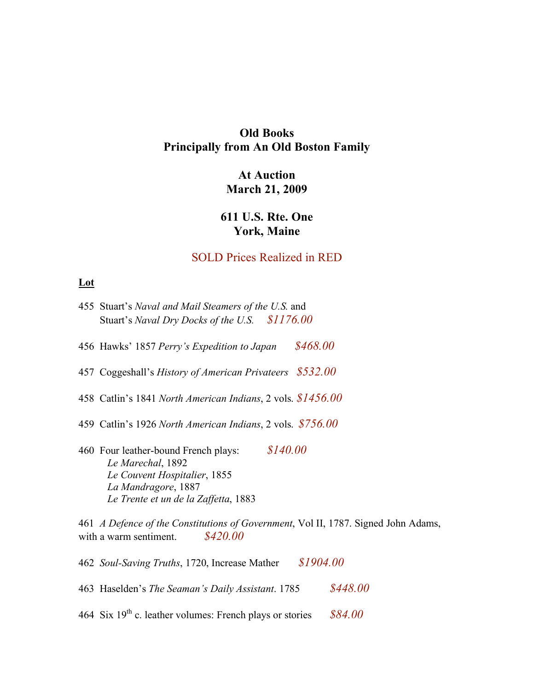# **Old Books Principally from An Old Boston Family**

# **At Auction March 21, 2009**

# **611 U.S. Rte. One York, Maine**

### SOLD Prices Realized in RED

Signed John Adams,

### **Lot**

| 455 Stuart's Naval and Mail Steamers of the U.S. and<br>Stuart's Naval Dry Docks of the U.S. \$1176.00                                                               |
|----------------------------------------------------------------------------------------------------------------------------------------------------------------------|
| \$468.00<br>456 Hawks' 1857 Perry's Expedition to Japan                                                                                                              |
| 457 Coggeshall's History of American Privateers $$532.00$                                                                                                            |
| 458 Catlin's 1841 North American Indians, 2 vols. $$1456.00$                                                                                                         |
| 459 Catlin's 1926 North American Indians, 2 vols. $$756.00$                                                                                                          |
| \$140.00<br>460 Four leather-bound French plays:<br>Le Marechal, 1892<br>Le Couvent Hospitalier, 1855<br>La Mandragore, 1887<br>Le Trente et un de la Zaffetta, 1883 |
| 461 A Defence of the Constitutions of Government, Vol II, 1787.<br>\$420.00<br>with a warm sentiment.                                                                |
| \$1904.00<br>462 Soul-Saving Truths, 1720, Increase Mather                                                                                                           |

463 Haselden's *The Seaman's Daily Assistant*. 1785 *\$448.00*

464 Six 19th c. leather volumes: French plays or stories *\$84.00*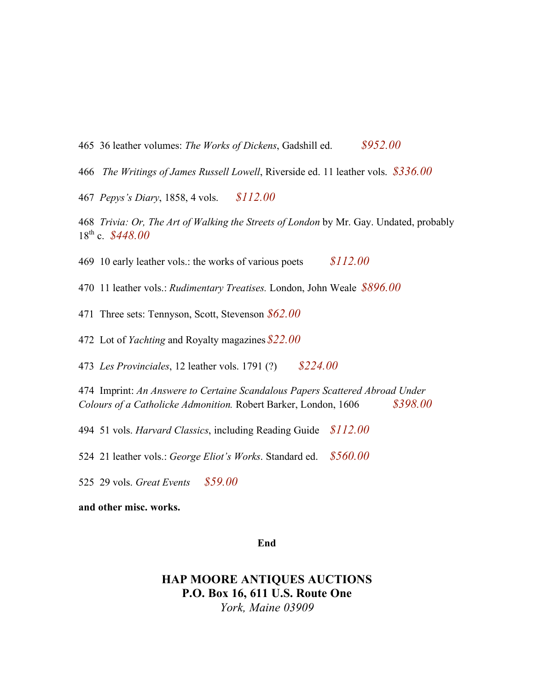- 465 36 leather volumes: *The Works of Dickens*, Gadshill ed. *\$952.00*
- 466 *The Writings of James Russell Lowell*, Riverside ed. 11 leather vols. *\$336.00*
- 467 *Pepys's Diary*, 1858, 4 vols. *\$112.00*
- 468 *Trivia: Or, The Art of Walking the Streets of London* by Mr. Gay. Undated, probably 18th c. *\$448.00*
- 469 10 early leather vols.: the works of various poets *\$112.00*
- 470 11 leather vols.: *Rudimentary Treatises.* London, John Weale *\$896.00*
- 471 Three sets: Tennyson, Scott, Stevenson *\$62.00*
- 472 Lot of *Yachting* and Royalty magazines*\$22.00*
- 473 *Les Provinciales*, 12 leather vols. 1791 (?) *\$224.00*
- 474 Imprint: *An Answere to Certaine Scandalous Papers Scattered Abroad Under Colours of a Catholicke Admonition.* Robert Barker, London, 1606 *\$398.00*
- 494 51 vols. *Harvard Classics*, including Reading Guide *\$112.00*
- 524 21 leather vols.: *George Eliot's Works*. Standard ed. *\$560.00*
- 525 29 vols. *Great Events \$59.00*

#### **and other misc. works.**

#### **End**

### **HAP MOORE ANTIQUES AUCTIONS P.O. Box 16, 611 U.S. Route One** *York, Maine 03909*